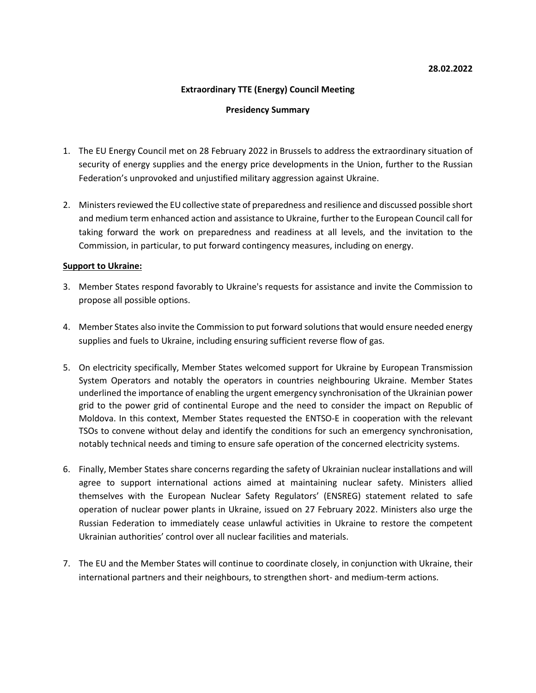# **Extraordinary TTE (Energy) Council Meeting**

### **Presidency Summary**

- 1. The EU Energy Council met on 28 February 2022 in Brussels to address the extraordinary situation of security of energy supplies and the energy price developments in the Union, further to the Russian Federation's unprovoked and unjustified military aggression against Ukraine.
- 2. Ministers reviewed the EU collective state of preparedness and resilience and discussed possible short and medium term enhanced action and assistance to Ukraine, further to the European Council call for taking forward the work on preparedness and readiness at all levels, and the invitation to the Commission, in particular, to put forward contingency measures, including on energy.

### **Support to Ukraine:**

- 3. Member States respond favorably to Ukraine's requests for assistance and invite the Commission to propose all possible options.
- 4. Member States also invite the Commission to put forward solutions that would ensure needed energy supplies and fuels to Ukraine, including ensuring sufficient reverse flow of gas.
- 5. On electricity specifically, Member States welcomed support for Ukraine by European Transmission System Operators and notably the operators in countries neighbouring Ukraine. Member States underlined the importance of enabling the urgent emergency synchronisation of the Ukrainian power grid to the power grid of continental Europe and the need to consider the impact on Republic of Moldova. In this context, Member States requested the ENTSO-E in cooperation with the relevant TSOs to convene without delay and identify the conditions for such an emergency synchronisation, notably technical needs and timing to ensure safe operation of the concerned electricity systems.
- 6. Finally, Member States share concerns regarding the safety of Ukrainian nuclear installations and will agree to support international actions aimed at maintaining nuclear safety. Ministers allied themselves with the European Nuclear Safety Regulators' (ENSREG) statement related to safe operation of nuclear power plants in Ukraine, issued on 27 February 2022. Ministers also urge the Russian Federation to immediately cease unlawful activities in Ukraine to restore the competent Ukrainian authorities' control over all nuclear facilities and materials.
- 7. The EU and the Member States will continue to coordinate closely, in conjunction with Ukraine, their international partners and their neighbours, to strengthen short- and medium-term actions.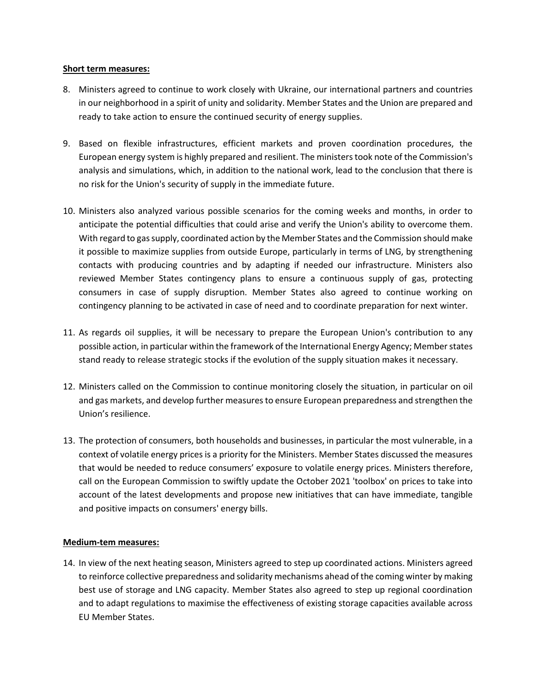### **Short term measures:**

- 8. Ministers agreed to continue to work closely with Ukraine, our international partners and countries in our neighborhood in a spirit of unity and solidarity. Member States and the Union are prepared and ready to take action to ensure the continued security of energy supplies.
- 9. Based on flexible infrastructures, efficient markets and proven coordination procedures, the European energy system is highly prepared and resilient. The ministers took note of the Commission's analysis and simulations, which, in addition to the national work, lead to the conclusion that there is no risk for the Union's security of supply in the immediate future.
- 10. Ministers also analyzed various possible scenarios for the coming weeks and months, in order to anticipate the potential difficulties that could arise and verify the Union's ability to overcome them. With regard to gas supply, coordinated action by the Member States and the Commission should make it possible to maximize supplies from outside Europe, particularly in terms of LNG, by strengthening contacts with producing countries and by adapting if needed our infrastructure. Ministers also reviewed Member States contingency plans to ensure a continuous supply of gas, protecting consumers in case of supply disruption. Member States also agreed to continue working on contingency planning to be activated in case of need and to coordinate preparation for next winter.
- 11. As regards oil supplies, it will be necessary to prepare the European Union's contribution to any possible action, in particular within the framework of the International Energy Agency; Member states stand ready to release strategic stocks if the evolution of the supply situation makes it necessary.
- 12. Ministers called on the Commission to continue monitoring closely the situation, in particular on oil and gas markets, and develop further measures to ensure European preparedness and strengthen the Union's resilience.
- 13. The protection of consumers, both households and businesses, in particular the most vulnerable, in a context of volatile energy prices is a priority for the Ministers. Member States discussed the measures that would be needed to reduce consumers' exposure to volatile energy prices. Ministers therefore, call on the European Commission to swiftly update the October 2021 'toolbox' on prices to take into account of the latest developments and propose new initiatives that can have immediate, tangible and positive impacts on consumers' energy bills.

# **Medium-tem measures:**

14. In view of the next heating season, Ministers agreed to step up coordinated actions. Ministers agreed to reinforce collective preparedness and solidarity mechanisms ahead of the coming winter by making best use of storage and LNG capacity. Member States also agreed to step up regional coordination and to adapt regulations to maximise the effectiveness of existing storage capacities available across EU Member States.